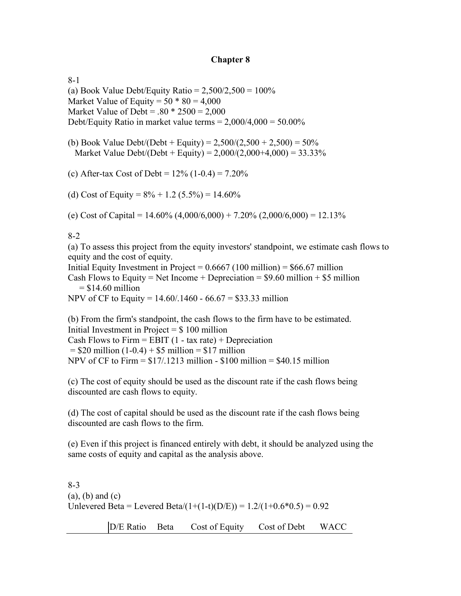### **Chapter 8**

8-1 (a) Book Value Debt/Equity Ratio =  $2,500/2,500 = 100\%$ Market Value of Equity =  $50 * 80 = 4,000$ Market Value of Debt =  $.80 * 2500 = 2,000$ Debt/Equity Ratio in market value terms  $= 2.000/4.000 = 50.00\%$ 

(b) Book Value Debt/(Debt + Equity) =  $2,500/(2,500 + 2,500) = 50\%$ Market Value Debt/(Debt + Equity) =  $2,000/(2,000+4,000) = 33.33\%$ 

(c) After-tax Cost of Debt =  $12\%$  (1-0.4) = 7.20%

(d) Cost of Equity =  $8\% + 1.2$  (5.5%) = 14.60%

(e) Cost of Capital =  $14.60\%$  (4,000/6,000) + 7.20% (2,000/6,000) = 12.13%

8-2

(a) To assess this project from the equity investors' standpoint, we estimate cash flows to equity and the cost of equity.

Initial Equity Investment in Project =  $0.6667$  (100 million) = \$66.67 million

Cash Flows to Equity = Net Income + Depreciation =  $$9.60$  million + \$5 million  $=$  \$14.60 million

NPV of CF to Equity = 14.60/.1460 - 66.67 = \$33.33 million

(b) From the firm's standpoint, the cash flows to the firm have to be estimated. Initial Investment in Project  $= $100$  million Cash Flows to Firm  $=$  EBIT (1 - tax rate)  $+$  Depreciation  $= $20 \text{ million} (1-0.4) + $5 \text{ million} = $17 \text{ million}$ NPV of CF to Firm  $= $17/0.1213$  million  $- $100$  million  $= $40.15$  million

(c) The cost of equity should be used as the discount rate if the cash flows being discounted are cash flows to equity.

(d) The cost of capital should be used as the discount rate if the cash flows being discounted are cash flows to the firm.

(e) Even if this project is financed entirely with debt, it should be analyzed using the same costs of equity and capital as the analysis above.

8-3  $(a)$ ,  $(b)$  and  $(c)$ Unlevered Beta = Levered Beta/(1+(1-t)(D/E)) =  $1.2/(1+0.6*0.5) = 0.92$ 

D/E Ratio Beta Cost of Equity Cost of Debt WACC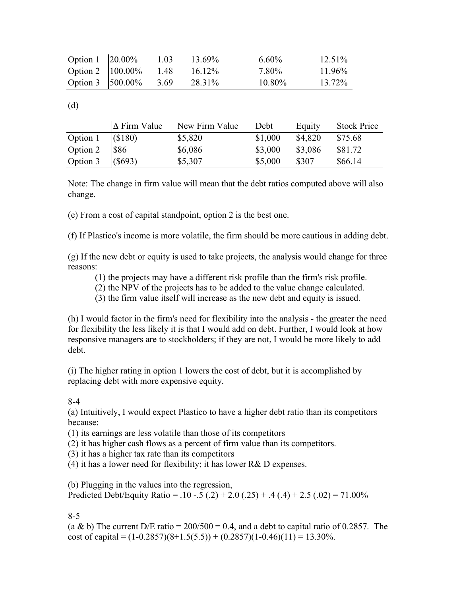| Option 1 $ 20.00\% $ |                         | 1.03 | 13.69%    | $6.60\%$  | $12.51\%$ |
|----------------------|-------------------------|------|-----------|-----------|-----------|
|                      | Option 2   100.00% 1.48 |      | $16.12\%$ | 7.80%     | $11.96\%$ |
| Option 3 $ 500.00\%$ |                         | 3.69 | 28.31%    | $10.80\%$ | 13.72%    |

(d)

|          | $\Delta$ Firm Value | New Firm Value | Debt    | Equity  | <b>Stock Price</b> |
|----------|---------------------|----------------|---------|---------|--------------------|
| Option 1 | (S180)              | \$5,820        | \$1,000 | \$4,820 | \$75.68            |
| Option 2 | \$86                | \$6,086        | \$3,000 | \$3,086 | \$81.72            |
| Option 3 | $($ \$693)          | \$5,307        | \$5,000 | \$307   | \$66.14            |

Note: The change in firm value will mean that the debt ratios computed above will also change.

(e) From a cost of capital standpoint, option 2 is the best one.

(f) If Plastico's income is more volatile, the firm should be more cautious in adding debt.

(g) If the new debt or equity is used to take projects, the analysis would change for three reasons:

- (1) the projects may have a different risk profile than the firm's risk profile.
- (2) the NPV of the projects has to be added to the value change calculated.
- (3) the firm value itself will increase as the new debt and equity is issued.

(h) I would factor in the firm's need for flexibility into the analysis - the greater the need for flexibility the less likely it is that I would add on debt. Further, I would look at how responsive managers are to stockholders; if they are not, I would be more likely to add debt.

(i) The higher rating in option 1 lowers the cost of debt, but it is accomplished by replacing debt with more expensive equity.

8-4

(a) Intuitively, I would expect Plastico to have a higher debt ratio than its competitors because:

(1) its earnings are less volatile than those of its competitors

(2) it has higher cash flows as a percent of firm value than its competitors.

(3) it has a higher tax rate than its competitors

(4) it has a lower need for flexibility; it has lower  $R&D$  expenses.

(b) Plugging in the values into the regression,

Predicted Debt/Equity Ratio =  $.10 - .5(.2) + 2.0(.25) + .4(.4) + 2.5(.02) = 71.00\%$ 

### 8-5

(a & b) The current D/E ratio =  $200/500 = 0.4$ , and a debt to capital ratio of 0.2857. The cost of capital =  $(1-0.2857)(8+1.5(5.5)) + (0.2857)(1-0.46)(11) = 13.30\%$ .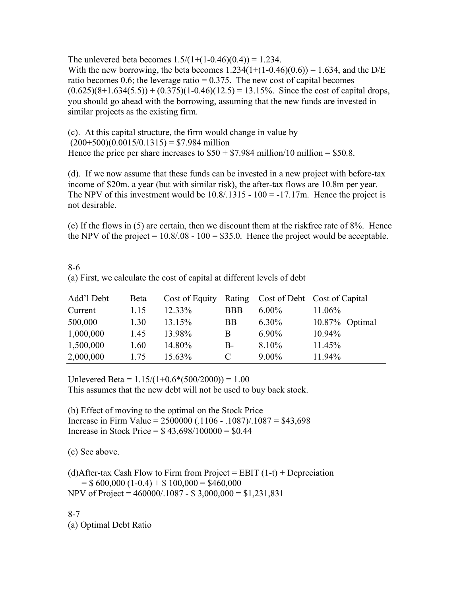The unlevered beta becomes  $1.5/(1+(1-0.46)(0.4)) = 1.234$ . With the new borrowing, the beta becomes  $1.234(1+(1-0.46)(0.6)) = 1.634$ , and the D/E ratio becomes 0.6; the leverage ratio  $= 0.375$ . The new cost of capital becomes  $(0.625)(8+1.634(5.5)) + (0.375)(1-0.46)(12.5) = 13.15\%$ . Since the cost of capital drops, you should go ahead with the borrowing, assuming that the new funds are invested in similar projects as the existing firm.

(c). At this capital structure, the firm would change in value by  $(200+500)(0.0015/0.1315) = $7.984$  million Hence the price per share increases to  $$50 + $7.984$  million/10 million = \$50.8.

(d). If we now assume that these funds can be invested in a new project with before-tax income of \$20m. a year (but with similar risk), the after-tax flows are 10.8m per year. The NPV of this investment would be  $10.8/0.1315 - 100 = -17.17$ m. Hence the project is not desirable.

(e) If the flows in (5) are certain, then we discount them at the riskfree rate of 8%. Hence the NPV of the project  $= 10.8/0.08 - 100 = $35.0$ . Hence the project would be acceptable.

| (a) First, we calculate the cost of capital at different levels of debt |      |           |            |          |                                                    |  |
|-------------------------------------------------------------------------|------|-----------|------------|----------|----------------------------------------------------|--|
| Add'l Debt                                                              | Beta |           |            |          | Cost of Equity Rating Cost of Debt Cost of Capital |  |
| Current                                                                 | 1 15 | $12.33\%$ | <b>BBB</b> | $6.00\%$ | 11.06%                                             |  |
| 500,000                                                                 | 1.30 | 13.15%    | BB.        | $6.30\%$ | $10.87\%$ Optimal                                  |  |

1,000,000 1.45 13.98% B 6.90% 10.94% 1,500,000 1,60 14.80% B- 8,10% 11.45% 2,000,000 1.75 15.63% C 9.00% 11.94%

8-6

Unlevered Beta =  $1.15/(1+0.6*(500/2000)) = 1.00$ This assumes that the new debt will not be used to buy back stock.

(b) Effect of moving to the optimal on the Stock Price Increase in Firm Value = 2500000 (.1106 - .1087)/.1087 = \$43,698 Increase in Stock Price =  $$43,698/100000 = $0.44$ 

(c) See above.

(d)After-tax Cash Flow to Firm from Project = EBIT  $(1-t)$  + Depreciation  $=$  \$ 600,000 (1-0.4) + \$ 100,000 = \$460,000 NPV of Project = 460000/.1087 - \$ 3,000,000 = \$1,231,831

8-7 (a) Optimal Debt Ratio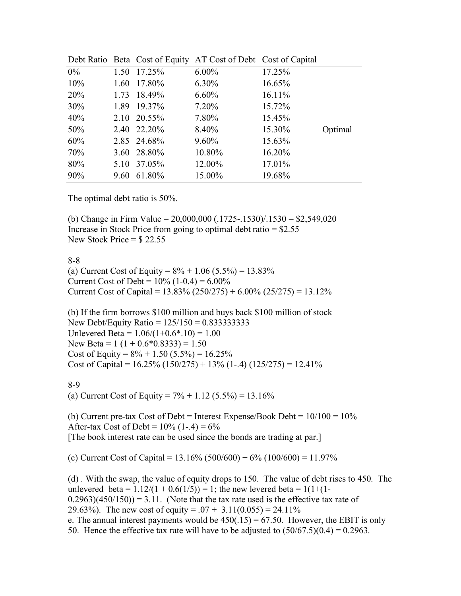|       |      |             | Debt Ratio Beta Cost of Equity AT Cost of Debt Cost of Capital |        |         |
|-------|------|-------------|----------------------------------------------------------------|--------|---------|
| $0\%$ |      | 1.50 17.25% | $6.00\%$                                                       | 17.25% |         |
| 10%   |      | 1.60 17.80% | $6.30\%$                                                       | 16.65% |         |
| 20%   |      | 1.73 18.49% | $6.60\%$                                                       | 16.11% |         |
| 30%   |      | 1.89 19.37% | $7.20\%$                                                       | 15.72% |         |
| 40%   |      | 2.10 20.55% | 7.80%                                                          | 15.45% |         |
| 50%   |      | 2.40 22.20% | 8.40%                                                          | 15.30% | Optimal |
| 60%   |      | 2.85 24.68% | $9.60\%$                                                       | 15.63% |         |
| 70%   |      | 3.60 28.80% | 10.80%                                                         | 16.20% |         |
| 80%   |      | 5.10 37.05% | 12.00%                                                         | 17.01% |         |
| 90%   | 9.60 | 61.80%      | 15.00%                                                         | 19.68% |         |

|  | Debt Ratio Beta Cost of Equity AT Cost of Debt Cost of Capital |  |
|--|----------------------------------------------------------------|--|
|  |                                                                |  |

The optimal debt ratio is 50%.

(b) Change in Firm Value =  $20,000,000$  (.1725-.1530)/.1530 = \$2,549,020 Increase in Stock Price from going to optimal debt ratio  $=$  \$2.55 New Stock Price  $=$  \$22.55

8-8

(a) Current Cost of Equity =  $8\% + 1.06$  (5.5%) = 13.83% Current Cost of Debt =  $10\%$  (1-0.4) =  $6.00\%$ Current Cost of Capital =  $13.83\%$  (250/275) +  $6.00\%$  (25/275) =  $13.12\%$ 

(b) If the firm borrows \$100 million and buys back \$100 million of stock New Debt/Equity Ratio = 125/150 = 0.833333333 Unlevered Beta =  $1.06/(1+0.6*.10) = 1.00$ New Beta =  $1(1 + 0.6 * 0.8333) = 1.50$ Cost of Equity =  $8\% + 1.50$  (5.5%) = 16.25% Cost of Capital =  $16.25\%$  ( $150/275$ ) +  $13\%$  (1-.4) ( $125/275$ ) =  $12.41\%$ 

8-9

(a) Current Cost of Equity =  $7\% + 1.12$  (5.5%) = 13.16%

(b) Current pre-tax Cost of Debt = Interest Expense/Book Debt =  $10/100 = 10\%$ After-tax Cost of Debt =  $10\%$  (1-.4) =  $6\%$ [The book interest rate can be used since the bonds are trading at par.]

(c) Current Cost of Capital =  $13.16\%$  (500/600) +  $6\%$  (100/600) =  $11.97\%$ 

(d) . With the swap, the value of equity drops to 150. The value of debt rises to 450. The unlevered beta =  $1.12/(1 + 0.6(1/5)) = 1$ ; the new levered beta =  $1(1+(1 (0.2963)(450/150) = 3.11$ . (Note that the tax rate used is the effective tax rate of 29.63%). The new cost of equity =  $.07 + 3.11(0.055) = 24.11\%$ e. The annual interest payments would be  $450(.15) = 67.50$ . However, the EBIT is only 50. Hence the effective tax rate will have to be adjusted to  $(50/67.5)(0.4) = 0.2963$ .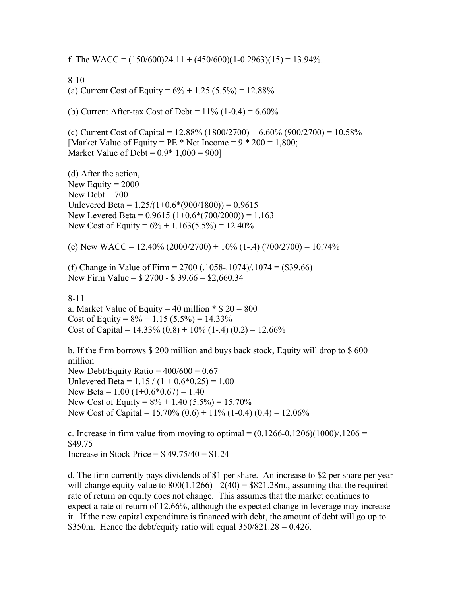f. The WACC =  $(150/600)24.11 + (450/600)(1-0.2963)(15) = 13.94\%$ .

8-10 (a) Current Cost of Equity =  $6\% + 1.25$  (5.5%) = 12.88%

(b) Current After-tax Cost of Debt =  $11\%$  (1-0.4) =  $6.60\%$ 

(c) Current Cost of Capital =  $12.88\%$  (1800/2700) +  $6.60\%$  (900/2700) =  $10.58\%$ [Market Value of Equity = PE  $*$  Net Income = 9  $*$  200 = 1,800; Market Value of Debt =  $0.9*1,000 = 900$ 

(d) After the action, New Equity  $= 2000$ New Debt  $= 700$ Unlevered Beta =  $1.25/(1+0.6*(900/1800)) = 0.9615$ New Levered Beta =  $0.9615 (1+0.6*(700/2000)) = 1.163$ New Cost of Equity =  $6\% + 1.163(5.5\%) = 12.40\%$ 

(e) New WACC =  $12.40\%$  (2000/2700) +  $10\%$  (1-.4) (700/2700) =  $10.74\%$ 

(f) Change in Value of Firm =  $2700$  (.1058-.1074)/.1074 = (\$39.66) New Firm Value = \$ 2700 - \$ 39.66 = \$2,660.34

8-11 a. Market Value of Equity = 40 million  $\degree$  \$ 20 = 800 Cost of Equity =  $8\% + 1.15$  (5.5%) = 14.33% Cost of Capital =  $14.33\%$  (0.8) + 10% (1-.4) (0.2) = 12.66%

b. If the firm borrows \$ 200 million and buys back stock, Equity will drop to \$ 600 million New Debt/Equity Ratio =  $400/600 = 0.67$ Unlevered Beta =  $1.15 / (1 + 0.6 * 0.25) = 1.00$ New Beta =  $1.00$  (1+0.6 $*0.67$ ) = 1.40 New Cost of Equity =  $8\% + 1.40$  (5.5%) = 15.70% New Cost of Capital =  $15.70\%$  (0.6) +  $11\%$  (1-0.4) (0.4) =  $12.06\%$ 

c. Increase in firm value from moving to optimal =  $(0.1266-0.1206)(1000)/1206 =$ \$49.75 Increase in Stock Price =  $$49.75/40 = $1.24$ 

d. The firm currently pays dividends of \$1 per share. An increase to \$2 per share per year will change equity value to  $800(1.1266) - 2(40) = $821.28$ m., assuming that the required rate of return on equity does not change. This assumes that the market continues to expect a rate of return of 12.66%, although the expected change in leverage may increase it. If the new capital expenditure is financed with debt, the amount of debt will go up to \$350m. Hence the debt/equity ratio will equal  $350/821.28 = 0.426$ .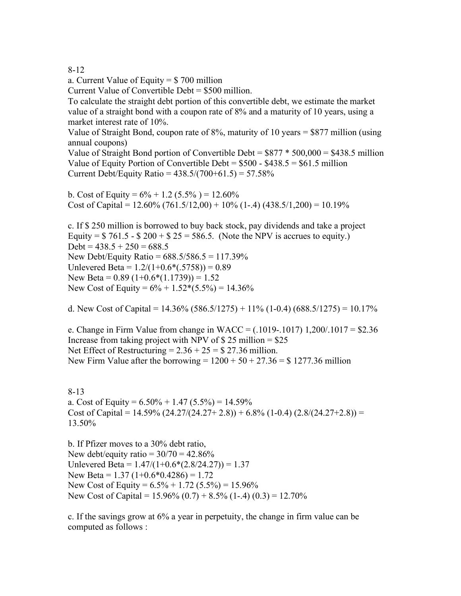### 8-12

a. Current Value of Equity = \$ 700 million

Current Value of Convertible Debt = \$500 million.

To calculate the straight debt portion of this convertible debt, we estimate the market value of a straight bond with a coupon rate of 8% and a maturity of 10 years, using a market interest rate of 10%.

Value of Straight Bond, coupon rate of 8%, maturity of 10 years = \$877 million (using annual coupons)

Value of Straight Bond portion of Convertible Debt =  $$877 * 500,000 = $438.5$  million Value of Equity Portion of Convertible Debt =  $$500 - $438.5 = $61.5$  million Current Debt/Equity Ratio =  $438.5/(700+61.5) = 57.58\%$ 

b. Cost of Equity =  $6\% + 1.2$  (5.5%) = 12.60% Cost of Capital =  $12.60\%$  (761.5/12,00) + 10% (1-.4) (438.5/1,200) = 10.19%

c. If \$ 250 million is borrowed to buy back stock, pay dividends and take a project Equity =  $$761.5 - $200 + $25 = 586.5$ . (Note the NPV is accrues to equity.)  $Debt = 438.5 + 250 = 688.5$ New Debt/Equity Ratio = 688.5/586.5 = 117.39% Unlevered Beta =  $1.2/(1+0.6*(0.5758)) = 0.89$ New Beta =  $0.89$  (1+ $0.6*(1.1739)$ ) = 1.52 New Cost of Equity =  $6\% + 1.52*(5.5\%) = 14.36\%$ 

d. New Cost of Capital =  $14.36\%$  (586.5/1275) + 11% (1-0.4) (688.5/1275) = 10.17%

e. Change in Firm Value from change in WACC =  $(.1019-.1017)$  1,200/.1017 = \$2.36 Increase from taking project with NPV of  $$25$  million =  $$25$ Net Effect of Restructuring  $= 2.36 + 25 = $27.36$  million. New Firm Value after the borrowing  $= 1200 + 50 + 27.36 = $ 1277.36$  million

8-13 a. Cost of Equity =  $6.50\% + 1.47$  (5.5%) = 14.59% Cost of Capital =  $14.59\%$  (24.27/(24.27+2.8)) + 6.8% (1-0.4) (2.8/(24.27+2.8)) = 13.50%

b. If Pfizer moves to a 30% debt ratio, New debt/equity ratio =  $30/70 = 42.86\%$ Unlevered Beta =  $1.47/(1+0.6*(2.8/24.27)) = 1.37$ New Beta =  $1.37$  (1+0.6\*0.4286) = 1.72 New Cost of Equity =  $6.5\% + 1.72$   $(5.5\%) = 15.96\%$ New Cost of Capital =  $15.96\%$  (0.7) +  $8.5\%$  (1-.4) (0.3) =  $12.70\%$ 

c. If the savings grow at 6% a year in perpetuity, the change in firm value can be computed as follows :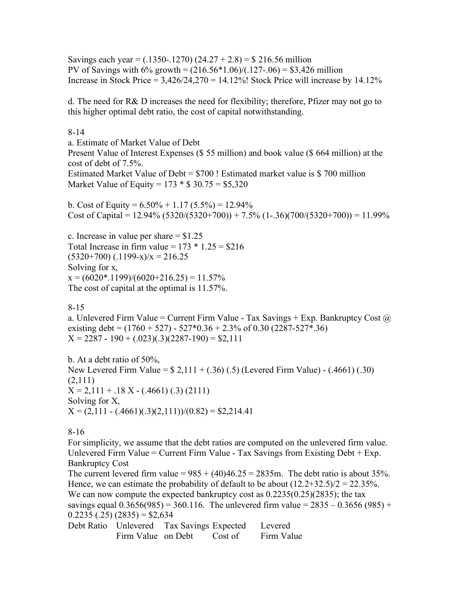Savings each year =  $(.1350-.1270)$   $(24.27 + 2.8) = $216.56$  million PV of Savings with  $6\%$  growth =  $(216.56*1.06)/(.127-.06) = $3,426$  million Increase in Stock Price =  $3,426/24,270 = 14.12\%$ ! Stock Price will increase by 14.12%

d. The need for R& D increases the need for flexibility; therefore, Pfizer may not go to this higher optimal debt ratio, the cost of capital notwithstanding.

#### 8-14

a. Estimate of Market Value of Debt Present Value of Interest Expenses (\$ 55 million) and book value (\$ 664 million) at the cost of debt of 7.5%.

Estimated Market Value of Debt = \$700 ! Estimated market value is \$ 700 million Market Value of Equity =  $173 * $30.75 = $5,320$ 

b. Cost of Equity =  $6.50\% + 1.17(5.5\%) = 12.94\%$ Cost of Capital =  $12.94\%$  (5320/(5320+700)) + 7.5% (1-.36)(700/(5320+700)) = 11.99%

c. Increase in value per share  $= $1.25$ Total Increase in firm value =  $173 * 1.25 = $216$  $(5320+700)$   $(.1199-x)/x = 216.25$ Solving for x,  $x = (6020*.1199)/(6020+216.25) = 11.57%$ The cost of capital at the optimal is 11.57%.

### 8-15

a. Unlevered Firm Value = Current Firm Value - Tax Savings + Exp. Bankruptcy Cost  $\omega$ existing debt =  $(1760 + 527) - 527 * 0.36 + 2.3$ % of 0.30 (2287-527\*.36)  $X = 2287 - 190 + (0.023)(0.3)(2287 - 190) = $2,111$ 

b. At a debt ratio of 50%, New Levered Firm Value = \$ 2,111 + (.36) (.5) (Levered Firm Value) - (.4661) (.30) (2,111)  $X = 2,111 + .18 X - (.4661) (.3) (2111)$ Solving for X,  $X = (2,111 - (.4661)(.3)(2,111)) / (0.82) = $2,214.41$ 

8-16

For simplicity, we assume that the debt ratios are computed on the unlevered firm value. Unlevered Firm Value = Current Firm Value - Tax Savings from Existing Debt  $+$  Exp. Bankruptcy Cost

The current levered firm value =  $985 + (40)46.25 = 2835$ m. The debt ratio is about 35%. Hence, we can estimate the probability of default to be about  $(12.2+32.5)/2 = 22.35%$ . We can now compute the expected bankruptcy cost as  $0.2235(0.25)(2835)$ ; the tax savings equal  $0.3656(985) = 360.116$ . The unlevered firm value =  $2835 - 0.3656(985) +$  $0.2235(.25)(2835) = $2,634$ 

Debt Ratio Unlevered Firm Value on Debt Tax Savings Expected Cost of Levered Firm Value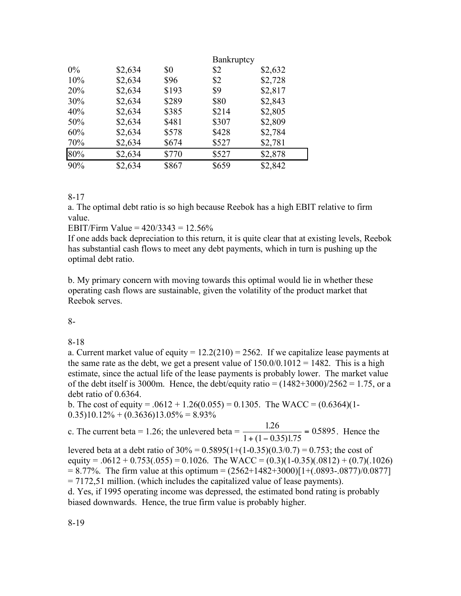|     |         |       |       | Bankruptcy |  |
|-----|---------|-------|-------|------------|--|
| 0%  | \$2,634 | \$0   | \$2   | \$2,632    |  |
| 10% | \$2,634 | \$96  | \$2   | \$2,728    |  |
| 20% | \$2,634 | \$193 | \$9   | \$2,817    |  |
| 30% | \$2,634 | \$289 | \$80  | \$2,843    |  |
| 40% | \$2,634 | \$385 | \$214 | \$2,805    |  |
| 50% | \$2,634 | \$481 | \$307 | \$2,809    |  |
| 60% | \$2,634 | \$578 | \$428 | \$2,784    |  |
| 70% | \$2,634 | \$674 | \$527 | \$2,781    |  |
| 80% | \$2,634 | \$770 | \$527 | \$2,878    |  |
| 90% | \$2,634 | \$867 | \$659 | \$2,842    |  |

8-17

a. The optimal debt ratio is so high because Reebok has a high EBIT relative to firm value.

EBIT/Firm Value =  $420/3343 = 12.56\%$ 

If one adds back depreciation to this return, it is quite clear that at existing levels, Reebok has substantial cash flows to meet any debt payments, which in turn is pushing up the optimal debt ratio.

b. My primary concern with moving towards this optimal would lie in whether these operating cash flows are sustainable, given the volatility of the product market that Reebok serves.

8-

8-18

a. Current market value of equity =  $12.2(210) = 2562$ . If we capitalize lease payments at the same rate as the debt, we get a present value of  $150.0/0.1012 = 1482$ . This is a high estimate, since the actual life of the lease payments is probably lower. The market value of the debt itself is 3000m. Hence, the debt/equity ratio =  $(1482+3000)/2562 = 1.75$ , or a debt ratio of 0.6364.

b. The cost of equity =  $.0612 + 1.26(0.055) = 0.1305$ . The WACC =  $(0.6364)(1 (0.35)10.12\% + (0.3636)13.05\% = 8.93\%$ 

c. The current beta = 1.26; the unlevered beta =  $\frac{1.26}{1.26}$  $1 + (1 - 0.35)1.75$  $\frac{.26}{.005155} = 0.5895$  $(1 - 0.35)1$ . .  $+ (1 = 0.5895$ . Hence the

levered beta at a debt ratio of  $30\% = 0.5895(1+(1-0.35)(0.3/0.7) = 0.753$ ; the cost of equity =  $.0612 + 0.753(.055) = 0.1026$ . The WACC =  $(0.3)(1-0.35)(.0812) + (0.7)(.1026)$  $= 8.77\%$ . The firm value at this optimum  $= (2562+1482+3000)[1+(0.0893-0.0877)/0.0877]$ = 7172,51 million. (which includes the capitalized value of lease payments). d. Yes, if 1995 operating income was depressed, the estimated bond rating is probably

biased downwards. Hence, the true firm value is probably higher.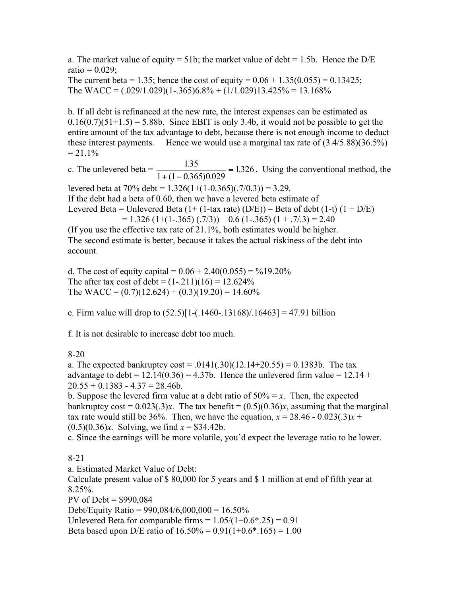a. The market value of equity = 51b; the market value of debt = 1.5b. Hence the  $D/E$  $ratio = 0.029;$ 

The current beta = 1.35; hence the cost of equity =  $0.06 + 1.35(0.055) = 0.13425$ ; The WACC =  $(.029/1.029)(1-.365)6.8% + (1/1.029)13.425% = 13.168%$ 

b. If all debt is refinanced at the new rate, the interest expenses can be estimated as  $0.16(0.7)(51+1.5) = 5.88b$ . Since EBIT is only 3.4b, it would not be possible to get the entire amount of the tax advantage to debt, because there is not enough income to deduct these interest payments. Hence we would use a marginal tax rate of (3.4/5.88)(36.5%)  $= 21.1\%$ 

c. The unlevered beta =  $\frac{1.35}{1.35}$  $1 + (1 - 0.365)0.029$  $\frac{.35}{2.523333} = 1.326$  $(1 - 0.365)0.$ .  $+ (1 = 1.326$ . Using the conventional method, the

levered beta at  $70\%$  debt =  $1.326(1+(1-0.365)(.7/0.3)) = 3.29$ .

If the debt had a beta of 0.60, then we have a levered beta estimate of

Levered Beta = Unlevered Beta  $(1+(1-tax rate) (D/E))$  – Beta of debt  $(1-t) (1+D/E)$ 

 $= 1.326$  (1+(1-.365) (.7/3)) – 0.6 (1-.365) (1 + .7/.3) = 2.40

(If you use the effective tax rate of 21.1%, both estimates would be higher. The second estimate is better, because it takes the actual riskiness of the debt into account.

d. The cost of equity capital =  $0.06 + 2.40(0.055) = %19.20\%$ The after tax cost of debt =  $(1-.211)(16) = 12.624\%$ The WACC =  $(0.7)(12.624) + (0.3)(19.20) = 14.60\%$ 

e. Firm value will drop to  $(52.5)[1-(.1460-.13168)/.16463] = 47.91$  billion

f. It is not desirable to increase debt too much.

# 8-20

a. The expected bankruptcy  $\cos t = .0141(.30)(12.14+20.55) = 0.1383b$ . The tax advantage to debt =  $12.14(0.36) = 4.37b$ . Hence the unlevered firm value =  $12.14 +$  $20.55 + 0.1383 - 4.37 = 28.46b$ .

b. Suppose the levered firm value at a debt ratio of  $50\% = x$ . Then, the expected bankruptcy cost =  $0.023(.3)x$ . The tax benefit =  $(0.5)(0.36)x$ , assuming that the marginal tax rate would still be 36%. Then, we have the equation,  $x = 28.46 - 0.023(.3)x +$ (0.5)(0.36)*x*. Solving, we find *x* = \$34.42b.

c. Since the earnings will be more volatile, you'd expect the leverage ratio to be lower.

# 8-21

a. Estimated Market Value of Debt:

Calculate present value of \$ 80,000 for 5 years and \$ 1 million at end of fifth year at 8.25%.

PV of Debt = \$990,084

Debt/Equity Ratio =  $990,084/6,000,000 = 16.50\%$ 

Unlevered Beta for comparable firms =  $1.05/(1+0.6*.25) = 0.91$ 

Beta based upon D/E ratio of  $16.50\% = 0.91(1+0.6*.165) = 1.00$